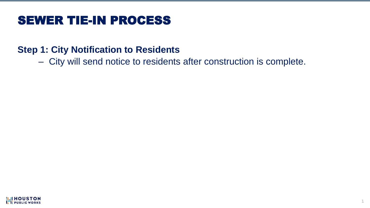## SEWER TIE-IN PROCESS

#### **Step 1: City Notification to Residents**

‒ City will send notice to residents after construction is complete.

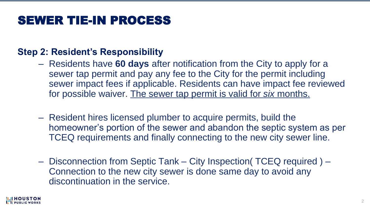# SEWER TIE-IN PROCESS

#### **Step 2: Resident's Responsibility**

- ‒ Residents have **60 days** after notification from the City to apply for a sewer tap permit and pay any fee to the City for the permit including sewer impact fees if applicable. Residents can have impact fee reviewed for possible waiver. The sewer tap permit is valid for *six* months.
- ‒ Resident hires licensed plumber to acquire permits, build the homeowner's portion of the sewer and abandon the septic system as per TCEQ requirements and finally connecting to the new city sewer line.
- Disconnection from Septic Tank City Inspection (TCEQ required) Connection to the new city sewer is done same day to avoid any discontinuation in the service.

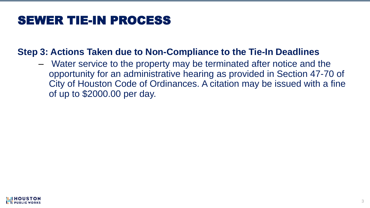## SEWER TIE-IN PROCESS

#### **Step 3: Actions Taken due to Non-Compliance to the Tie-In Deadlines**

‒ Water service to the property may be terminated after notice and the opportunity for an administrative hearing as provided in Section 47-70 of City of Houston Code of Ordinances. A citation may be issued with a fine of up to \$2000.00 per day.

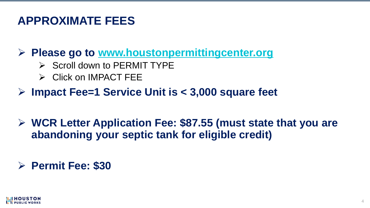#### **APPROXIMATE FEES**

➢ **Please go to [www.houstonpermittingcenter.org](http://www.houstonpermittingcenter.org/)**

- ➢ Scroll down to PERMIT TYPE
- ➢ Click on IMPACT FEE
- ➢ **Impact Fee=1 Service Unit is < 3,000 square feet**
- ➢ **WCR Letter Application Fee: \$87.55 (must state that you are abandoning your septic tank for eligible credit)**

#### ➢ **Permit Fee: \$30**